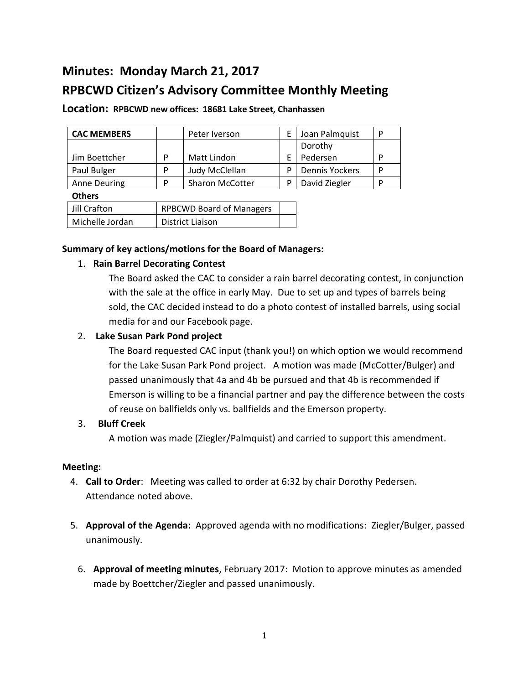# **Minutes: Monday March 21, 2017**

## **RPBCWD Citizen's Advisory Committee Monthly Meeting**

| <b>CAC MEMBERS</b> |   | Peter Iverson          |   | Joan Palmquist        | P |
|--------------------|---|------------------------|---|-----------------------|---|
|                    |   |                        |   | Dorothy               |   |
| Jim Boettcher      | P | Matt Lindon            |   | Pedersen              | D |
| Paul Bulger        | P | Judy McClellan         | D | <b>Dennis Yockers</b> | P |
| Anne Deuring       | P | <b>Sharon McCotter</b> |   | David Ziegler         | P |
| <b>Others</b>      |   |                        |   |                       |   |

## **Location: RPBCWD new offices: 18681 Lake Street, Chanhassen**

## **Summary of key actions/motions for the Board of Managers:**

Jill Crafton | RPBCWD Board of Managers

## 1. **Rain Barrel Decorating Contest**

Michelle Jordan | District Liaison

The Board asked the CAC to consider a rain barrel decorating contest, in conjunction with the sale at the office in early May. Due to set up and types of barrels being sold, the CAC decided instead to do a photo contest of installed barrels, using social media for and our Facebook page.

## 2. **Lake Susan Park Pond project**

The Board requested CAC input (thank you!) on which option we would recommend for the Lake Susan Park Pond project. A motion was made (McCotter/Bulger) and passed unanimously that 4a and 4b be pursued and that 4b is recommended if Emerson is willing to be a financial partner and pay the difference between the costs of reuse on ballfields only vs. ballfields and the Emerson property.

## 3. **Bluff Creek**

A motion was made (Ziegler/Palmquist) and carried to support this amendment.

## **Meeting:**

- 4. **Call to Order**: Meeting was called to order at 6:32 by chair Dorothy Pedersen. Attendance noted above.
- 5. **Approval of the Agenda:** Approved agenda with no modifications: Ziegler/Bulger, passed unanimously.
	- 6. **Approval of meeting minutes**, February 2017: Motion to approve minutes as amended made by Boettcher/Ziegler and passed unanimously.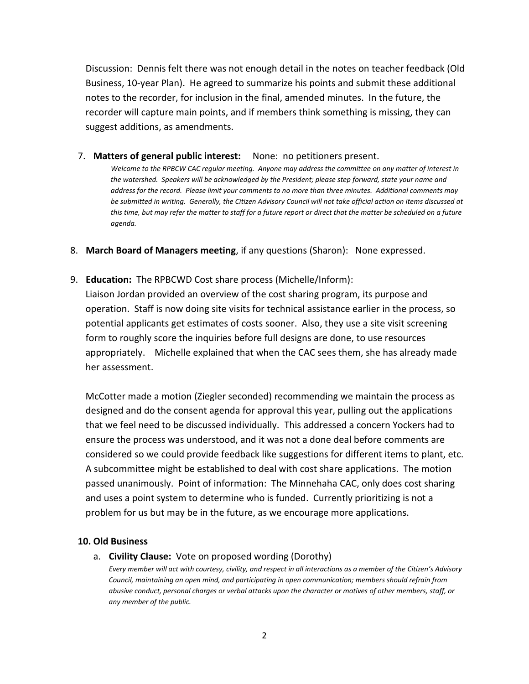Discussion: Dennis felt there was not enough detail in the notes on teacher feedback (Old Business, 10-year Plan). He agreed to summarize his points and submit these additional notes to the recorder, for inclusion in the final, amended minutes. In the future, the recorder will capture main points, and if members think something is missing, they can suggest additions, as amendments.

7. **Matters of general public interest:** None: no petitioners present.

*Welcome to the RPBCW CAC regular meeting. Anyone may address the committee on any matter of interest in the watershed. Speakers will be acknowledged by the President; please step forward, state your name and address for the record. Please limit your comments to no more than three minutes. Additional comments may be submitted in writing. Generally, the Citizen Advisory Council will not take official action on items discussed at*  this time, but may refer the matter to staff for a future report or direct that the matter be scheduled on a future *agenda.*

- 8. **March Board of Managers meeting**, if any questions (Sharon): None expressed.
- 9. **Education:** The RPBCWD Cost share process (Michelle/Inform):

Liaison Jordan provided an overview of the cost sharing program, its purpose and operation. Staff is now doing site visits for technical assistance earlier in the process, so potential applicants get estimates of costs sooner. Also, they use a site visit screening form to roughly score the inquiries before full designs are done, to use resources appropriately. Michelle explained that when the CAC sees them, she has already made her assessment.

McCotter made a motion (Ziegler seconded) recommending we maintain the process as designed and do the consent agenda for approval this year, pulling out the applications that we feel need to be discussed individually. This addressed a concern Yockers had to ensure the process was understood, and it was not a done deal before comments are considered so we could provide feedback like suggestions for different items to plant, etc. A subcommittee might be established to deal with cost share applications. The motion passed unanimously. Point of information: The Minnehaha CAC, only does cost sharing and uses a point system to determine who is funded. Currently prioritizing is not a problem for us but may be in the future, as we encourage more applications.

## **10. Old Business**

a. **Civility Clause:** Vote on proposed wording (Dorothy)

*Every member will act with courtesy, civility, and respect in all interactions as a member of the Citizen's Advisory Council, maintaining an open mind, and participating in open communication; members should refrain from abusive conduct, personal charges or verbal attacks upon the character or motives of other members, staff, or any member of the public.*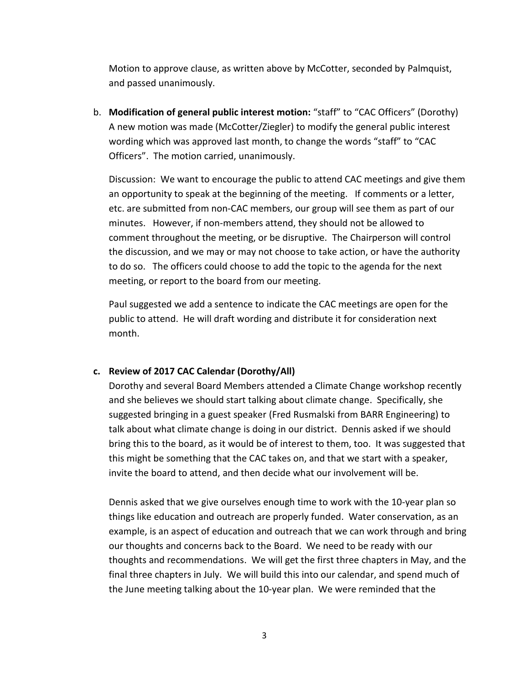Motion to approve clause, as written above by McCotter, seconded by Palmquist, and passed unanimously.

b. **Modification of general public interest motion:** "staff" to "CAC Officers" (Dorothy) A new motion was made (McCotter/Ziegler) to modify the general public interest wording which was approved last month, to change the words "staff" to "CAC Officers". The motion carried, unanimously.

Discussion: We want to encourage the public to attend CAC meetings and give them an opportunity to speak at the beginning of the meeting. If comments or a letter, etc. are submitted from non-CAC members, our group will see them as part of our minutes. However, if non-members attend, they should not be allowed to comment throughout the meeting, or be disruptive. The Chairperson will control the discussion, and we may or may not choose to take action, or have the authority to do so. The officers could choose to add the topic to the agenda for the next meeting, or report to the board from our meeting.

Paul suggested we add a sentence to indicate the CAC meetings are open for the public to attend. He will draft wording and distribute it for consideration next month.

## **c. Review of 2017 CAC Calendar (Dorothy/All)**

Dorothy and several Board Members attended a Climate Change workshop recently and she believes we should start talking about climate change. Specifically, she suggested bringing in a guest speaker (Fred Rusmalski from BARR Engineering) to talk about what climate change is doing in our district. Dennis asked if we should bring this to the board, as it would be of interest to them, too. It was suggested that this might be something that the CAC takes on, and that we start with a speaker, invite the board to attend, and then decide what our involvement will be.

Dennis asked that we give ourselves enough time to work with the 10-year plan so things like education and outreach are properly funded. Water conservation, as an example, is an aspect of education and outreach that we can work through and bring our thoughts and concerns back to the Board. We need to be ready with our thoughts and recommendations. We will get the first three chapters in May, and the final three chapters in July. We will build this into our calendar, and spend much of the June meeting talking about the 10-year plan. We were reminded that the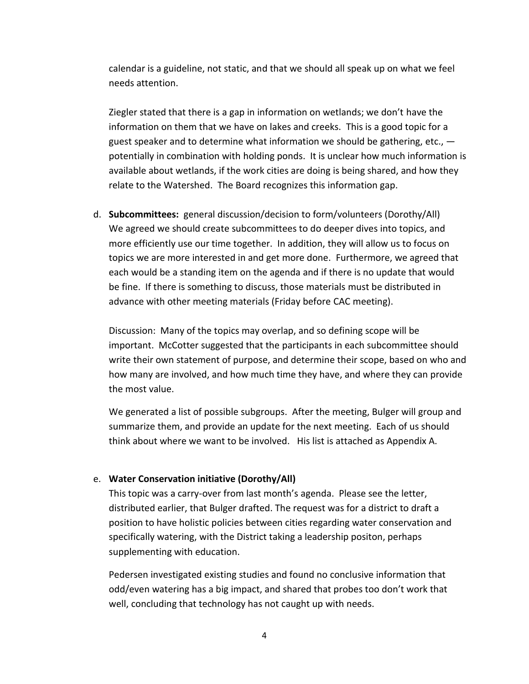calendar is a guideline, not static, and that we should all speak up on what we feel needs attention.

Ziegler stated that there is a gap in information on wetlands; we don't have the information on them that we have on lakes and creeks. This is a good topic for a guest speaker and to determine what information we should be gathering, etc.,  $$ potentially in combination with holding ponds. It is unclear how much information is available about wetlands, if the work cities are doing is being shared, and how they relate to the Watershed. The Board recognizes this information gap.

d. **Subcommittees:** general discussion/decision to form/volunteers (Dorothy/All) We agreed we should create subcommittees to do deeper dives into topics, and more efficiently use our time together. In addition, they will allow us to focus on topics we are more interested in and get more done. Furthermore, we agreed that each would be a standing item on the agenda and if there is no update that would be fine. If there is something to discuss, those materials must be distributed in advance with other meeting materials (Friday before CAC meeting).

Discussion: Many of the topics may overlap, and so defining scope will be important. McCotter suggested that the participants in each subcommittee should write their own statement of purpose, and determine their scope, based on who and how many are involved, and how much time they have, and where they can provide the most value.

We generated a list of possible subgroups. After the meeting, Bulger will group and summarize them, and provide an update for the next meeting. Each of us should think about where we want to be involved. His list is attached as Appendix A.

#### e. **Water Conservation initiative (Dorothy/All)**

This topic was a carry-over from last month's agenda. Please see the letter, distributed earlier, that Bulger drafted. The request was for a district to draft a position to have holistic policies between cities regarding water conservation and specifically watering, with the District taking a leadership positon, perhaps supplementing with education.

Pedersen investigated existing studies and found no conclusive information that odd/even watering has a big impact, and shared that probes too don't work that well, concluding that technology has not caught up with needs.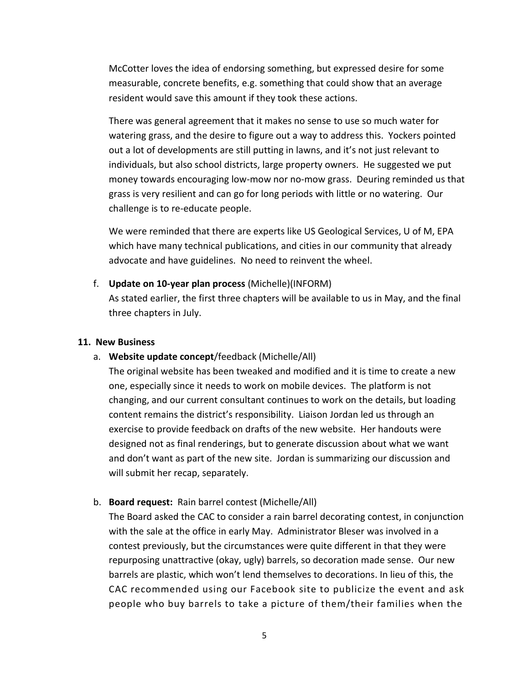McCotter loves the idea of endorsing something, but expressed desire for some measurable, concrete benefits, e.g. something that could show that an average resident would save this amount if they took these actions.

There was general agreement that it makes no sense to use so much water for watering grass, and the desire to figure out a way to address this. Yockers pointed out a lot of developments are still putting in lawns, and it's not just relevant to individuals, but also school districts, large property owners. He suggested we put money towards encouraging low-mow nor no-mow grass. Deuring reminded us that grass is very resilient and can go for long periods with little or no watering. Our challenge is to re-educate people.

We were reminded that there are experts like US Geological Services, U of M, EPA which have many technical publications, and cities in our community that already advocate and have guidelines. No need to reinvent the wheel.

f. **Update on 10-year plan process** (Michelle)(INFORM)

As stated earlier, the first three chapters will be available to us in May, and the final three chapters in July.

#### **11. New Business**

a. **Website update concept**/feedback (Michelle/All)

The original website has been tweaked and modified and it is time to create a new one, especially since it needs to work on mobile devices. The platform is not changing, and our current consultant continues to work on the details, but loading content remains the district's responsibility. Liaison Jordan led us through an exercise to provide feedback on drafts of the new website. Her handouts were designed not as final renderings, but to generate discussion about what we want and don't want as part of the new site. Jordan is summarizing our discussion and will submit her recap, separately.

#### b. **Board request:** Rain barrel contest (Michelle/All)

The Board asked the CAC to consider a rain barrel decorating contest, in conjunction with the sale at the office in early May. Administrator Bleser was involved in a contest previously, but the circumstances were quite different in that they were repurposing unattractive (okay, ugly) barrels, so decoration made sense. Our new barrels are plastic, which won't lend themselves to decorations. In lieu of this, the CAC recommended using our Facebook site to publicize the event and ask people who buy barrels to take a picture of them/their families when the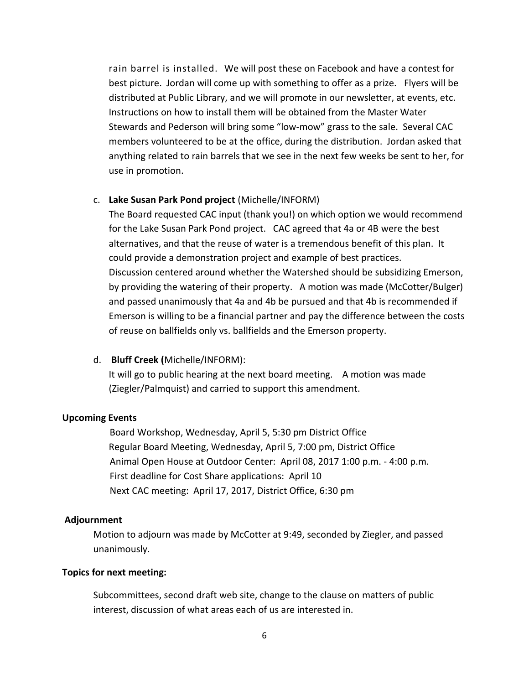rain barrel is installed. We will post these on Facebook and have a contest for best picture. Jordan will come up with something to offer as a prize. Flyers will be distributed at Public Library, and we will promote in our newsletter, at events, etc. Instructions on how to install them will be obtained from the Master Water Stewards and Pederson will bring some "low-mow" grass to the sale. Several CAC members volunteered to be at the office, during the distribution. Jordan asked that anything related to rain barrels that we see in the next few weeks be sent to her, for use in promotion.

#### c. **Lake Susan Park Pond project** (Michelle/INFORM)

The Board requested CAC input (thank you!) on which option we would recommend for the Lake Susan Park Pond project. CAC agreed that 4a or 4B were the best alternatives, and that the reuse of water is a tremendous benefit of this plan. It could provide a demonstration project and example of best practices. Discussion centered around whether the Watershed should be subsidizing Emerson, by providing the watering of their property. A motion was made (McCotter/Bulger) and passed unanimously that 4a and 4b be pursued and that 4b is recommended if Emerson is willing to be a financial partner and pay the difference between the costs of reuse on ballfields only vs. ballfields and the Emerson property.

#### d. **Bluff Creek (**Michelle/INFORM):

It will go to public hearing at the next board meeting. A motion was made (Ziegler/Palmquist) and carried to support this amendment.

#### **Upcoming Events**

 Board Workshop, Wednesday, April 5, 5:30 pm District Office Regular Board Meeting, Wednesday, April 5, 7:00 pm, District Office Animal Open House at Outdoor Center: April 08, 2017 1:00 p.m. - 4:00 p.m. First deadline for Cost Share applications: April 10 Next CAC meeting: April 17, 2017, District Office, 6:30 pm

#### **Adjournment**

Motion to adjourn was made by McCotter at 9:49, seconded by Ziegler, and passed unanimously.

#### **Topics for next meeting:**

Subcommittees, second draft web site, change to the clause on matters of public interest, discussion of what areas each of us are interested in.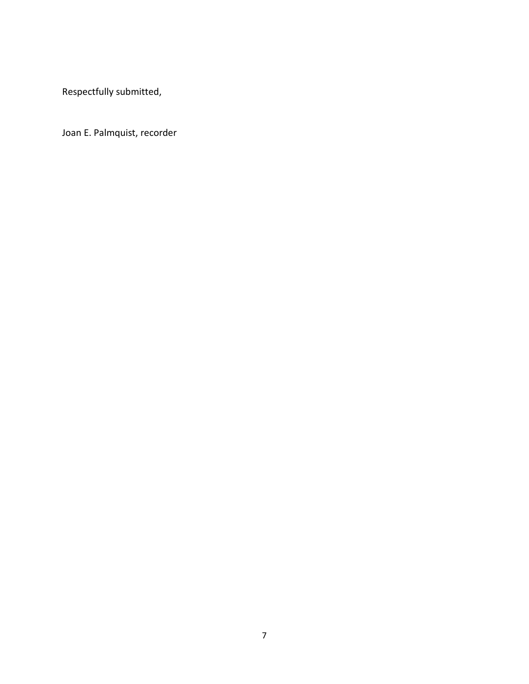Respectfully submitted,

Joan E. Palmquist, recorder